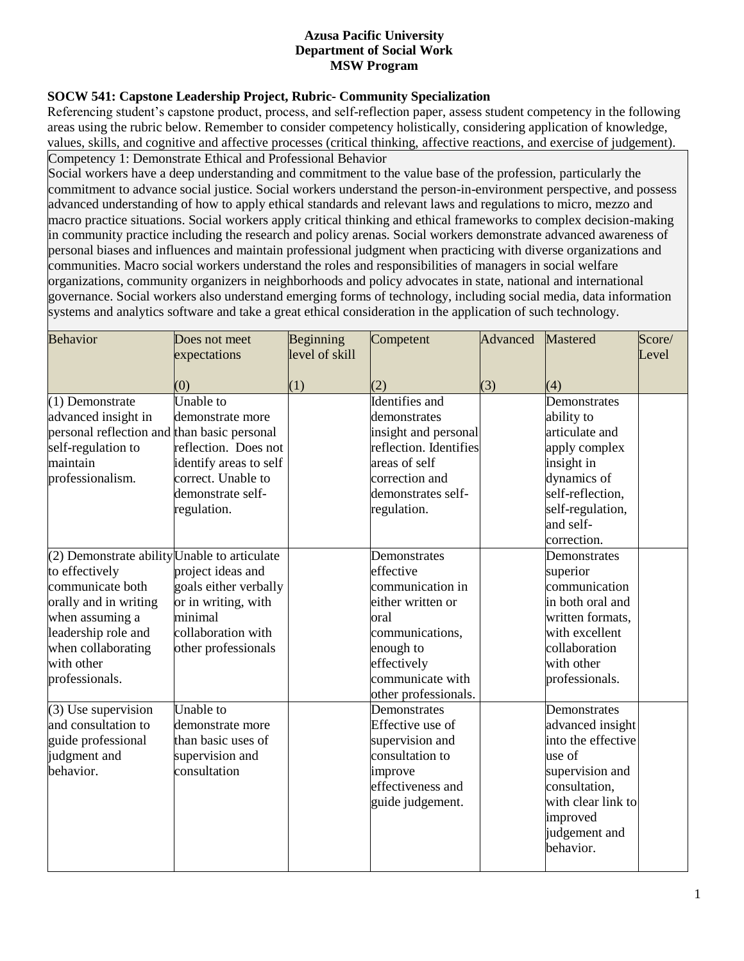#### **Azusa Pacific University Department of Social Work MSW Program**

# **SOCW 541: Capstone Leadership Project, Rubric- Community Specialization**

Referencing student's capstone product, process, and self-reflection paper, assess student competency in the following areas using the rubric below. Remember to consider competency holistically, considering application of knowledge, values, skills, and cognitive and affective processes (critical thinking, affective reactions, and exercise of judgement). Competency 1: Demonstrate Ethical and Professional Behavior

Social workers have a deep understanding and commitment to the value base of the profession, particularly the commitment to advance social justice. Social workers understand the person-in-environment perspective, and possess advanced understanding of how to apply ethical standards and relevant laws and regulations to micro, mezzo and macro practice situations. Social workers apply critical thinking and ethical frameworks to complex decision-making in community practice including the research and policy arenas. Social workers demonstrate advanced awareness of personal biases and influences and maintain professional judgment when practicing with diverse organizations and communities. Macro social workers understand the roles and responsibilities of managers in social welfare organizations, community organizers in neighborhoods and policy advocates in state, national and international governance. Social workers also understand emerging forms of technology, including social media, data information systems and analytics software and take a great ethical consideration in the application of such technology.

| <b>Behavior</b>                                                                                                                                                                                             | Does not meet<br>expectations                                                                                                             | Beginning<br>level of skill | Competent                                                                                                                                                             | Advanced | Mastered                                                                                                                                                             | Score/<br>Level |
|-------------------------------------------------------------------------------------------------------------------------------------------------------------------------------------------------------------|-------------------------------------------------------------------------------------------------------------------------------------------|-----------------------------|-----------------------------------------------------------------------------------------------------------------------------------------------------------------------|----------|----------------------------------------------------------------------------------------------------------------------------------------------------------------------|-----------------|
|                                                                                                                                                                                                             | (0)                                                                                                                                       | (1)                         | (2)                                                                                                                                                                   | (3)      | (4)                                                                                                                                                                  |                 |
| $(1)$ Demonstrate<br>advanced insight in<br>personal reflection and than basic personal<br>self-regulation to<br>maintain<br>professionalism.                                                               | Unable to<br>demonstrate more<br>reflection. Does not<br>identify areas to self<br>correct. Unable to<br>demonstrate self-<br>regulation. |                             | Identifies and<br>demonstrates<br>insight and personal<br>reflection. Identifies<br>areas of self<br>correction and<br>demonstrates self-<br>regulation.              |          | Demonstrates<br>ability to<br>articulate and<br>apply complex<br>insight in<br>dynamics of<br>self-reflection,<br>self-regulation,<br>and self-                      |                 |
| (2) Demonstrate ability Unable to articulate<br>to effectively<br>communicate both<br>orally and in writing<br>when assuming a<br>leadership role and<br>when collaborating<br>with other<br>professionals. | project ideas and<br>goals either verbally<br>or in writing, with<br>minimal<br>collaboration with<br>other professionals                 |                             | Demonstrates<br>effective<br>communication in<br>either written or<br>oral<br>communications,<br>enough to<br>effectively<br>communicate with<br>other professionals. |          | correction.<br>Demonstrates<br>superior<br>communication<br>in both oral and<br>written formats,<br>with excellent<br>collaboration<br>with other<br>professionals.  |                 |
| $(3)$ Use supervision<br>and consultation to<br>guide professional<br>judgment and<br>behavior.                                                                                                             | Unable to<br>demonstrate more<br>than basic uses of<br>supervision and<br>consultation                                                    |                             | Demonstrates<br>Effective use of<br>supervision and<br>consultation to<br>improve<br>effectiveness and<br>guide judgement.                                            |          | Demonstrates<br>advanced insight<br>into the effective<br>use of<br>supervision and<br>consultation,<br>with clear link to<br>improved<br>judgement and<br>behavior. |                 |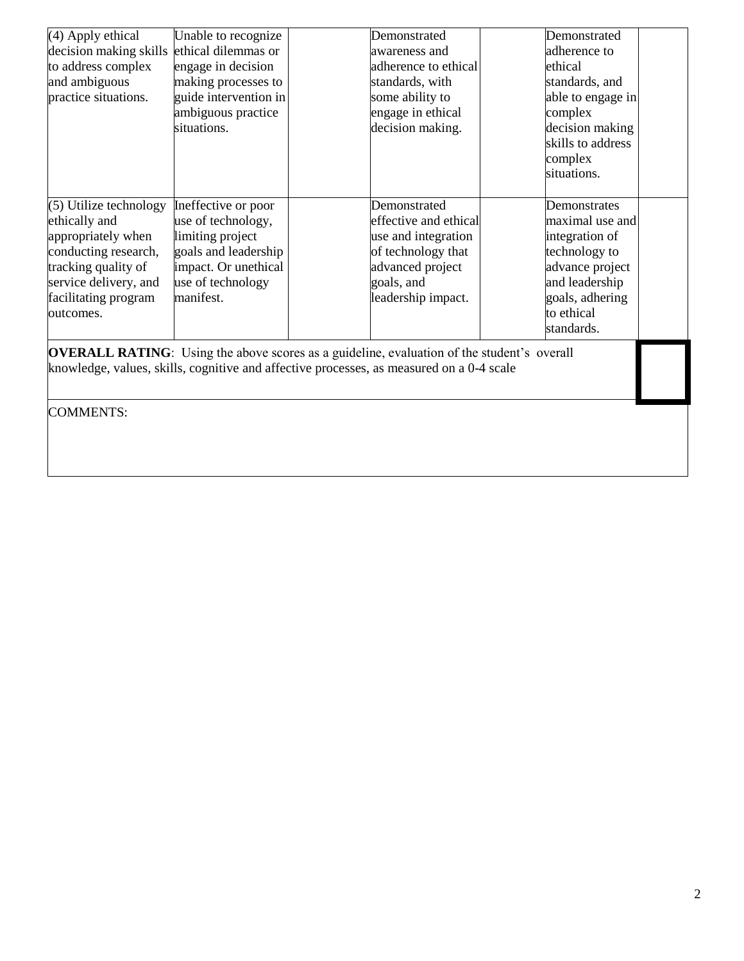| (4) Apply ethical      | Unable to recognize   | Demonstrated          | Demonstrated      |  |
|------------------------|-----------------------|-----------------------|-------------------|--|
| decision making skills | ethical dilemmas or   | awareness and         | adherence to      |  |
| to address complex     | engage in decision    | adherence to ethical  | ethical           |  |
| and ambiguous          | making processes to   | standards, with       | standards, and    |  |
| practice situations.   | guide intervention in | some ability to       | able to engage in |  |
|                        | ambiguous practice    | engage in ethical     | complex           |  |
|                        | situations.           | decision making.      | decision making   |  |
|                        |                       |                       | skills to address |  |
|                        |                       |                       | complex           |  |
|                        |                       |                       | situations.       |  |
|                        |                       |                       |                   |  |
| (5) Utilize technology | Ineffective or poor   | Demonstrated          | Demonstrates      |  |
| ethically and          | use of technology,    | effective and ethical | maximal use and   |  |
| appropriately when     | limiting project      | use and integration   | integration of    |  |
| conducting research,   | goals and leadership  | of technology that    | technology to     |  |
| tracking quality of    | impact. Or unethical  | advanced project      | advance project   |  |
| service delivery, and  | use of technology     | goals, and            | and leadership    |  |
| facilitating program   | manifest.             | leadership impact.    | goals, adhering   |  |
| outcomes.              |                       |                       | to ethical        |  |
|                        |                       |                       | standards.        |  |

**OVERALL RATING**: Using the above scores as a guideline, evaluation of the student's overall knowledge, values, skills, cognitive and affective processes, as measured on a 0-4 scale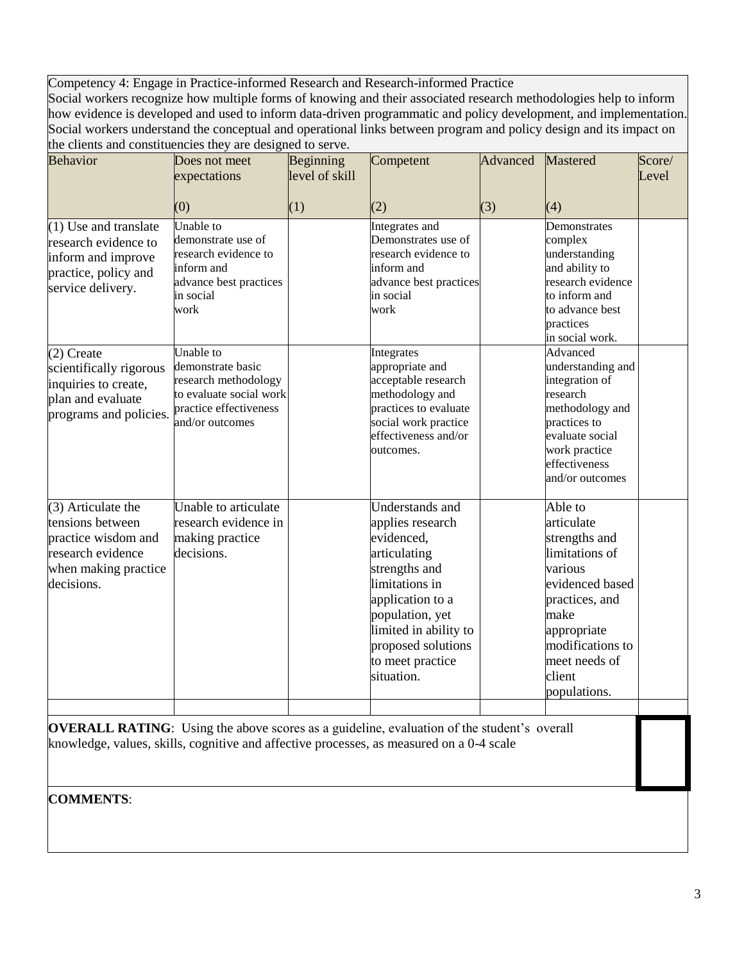Competency 4: Engage in Practice-informed Research and Research-informed Practice Social workers recognize how multiple forms of knowing and their associated research methodologies help to inform how evidence is developed and used to inform data-driven programmatic and policy development, and implementation. Social workers understand the conceptual and operational links between program and policy design and its impact on the clients and constituencies they are designed to serve.

| <b>Behavior</b>                                                                                                            | $\omega$ and constructions they are designed to set $\omega$ .<br>Does not meet<br>expectations                                | <b>Beginning</b><br>level of skill | Competent                                                                                                                                                                                                                           | Advanced | Mastered                                                                                                                                                                                       | Score/<br>Level |
|----------------------------------------------------------------------------------------------------------------------------|--------------------------------------------------------------------------------------------------------------------------------|------------------------------------|-------------------------------------------------------------------------------------------------------------------------------------------------------------------------------------------------------------------------------------|----------|------------------------------------------------------------------------------------------------------------------------------------------------------------------------------------------------|-----------------|
|                                                                                                                            | (0)                                                                                                                            | (1)                                | (2)                                                                                                                                                                                                                                 | (3)      | (4)                                                                                                                                                                                            |                 |
| $(1)$ Use and translate<br>research evidence to<br>inform and improve<br>practice, policy and<br>service delivery.         | Unable to<br>demonstrate use of<br>research evidence to<br>inform and<br>advance best practices<br>in social<br>work           |                                    | Integrates and<br>Demonstrates use of<br>research evidence to<br>inform and<br>advance best practices<br>in social<br>work                                                                                                          |          | Demonstrates<br>complex<br>understanding<br>and ability to<br>research evidence<br>to inform and<br>to advance best<br>practices                                                               |                 |
| $(2)$ Create<br>scientifically rigorous<br>inquiries to create,<br>plan and evaluate<br>programs and policies.             | Unable to<br>demonstrate basic<br>research methodology<br>to evaluate social work<br>practice effectiveness<br>and/or outcomes |                                    | Integrates<br>appropriate and<br>acceptable research<br>methodology and<br>practices to evaluate<br>social work practice<br>effectiveness and/or<br>outcomes.                                                                       |          | in social work.<br>Advanced<br>understanding and<br>integration of<br>research<br>methodology and<br>practices to<br>evaluate social<br>work practice<br>effectiveness<br>and/or outcomes      |                 |
| $(3)$ Articulate the<br>tensions between<br>practice wisdom and<br>research evidence<br>when making practice<br>decisions. | Unable to articulate<br>research evidence in<br>making practice<br>decisions.                                                  |                                    | <b>Understands</b> and<br>applies research<br>evidenced,<br>articulating<br>strengths and<br>limitations in<br>application to a<br>population, yet<br>limited in ability to<br>proposed solutions<br>to meet practice<br>situation. |          | Able to<br>articulate<br>strengths and<br>limitations of<br>various<br>evidenced based<br>practices, and<br>make<br>appropriate<br>modifications to<br>meet needs of<br>client<br>populations. |                 |
|                                                                                                                            |                                                                                                                                |                                    |                                                                                                                                                                                                                                     |          |                                                                                                                                                                                                |                 |

**OVERALL RATING:** Using the above scores as a guideline, evaluation of the student's overall knowledge, values, skills, cognitive and affective processes, as measured on a 0-4 scale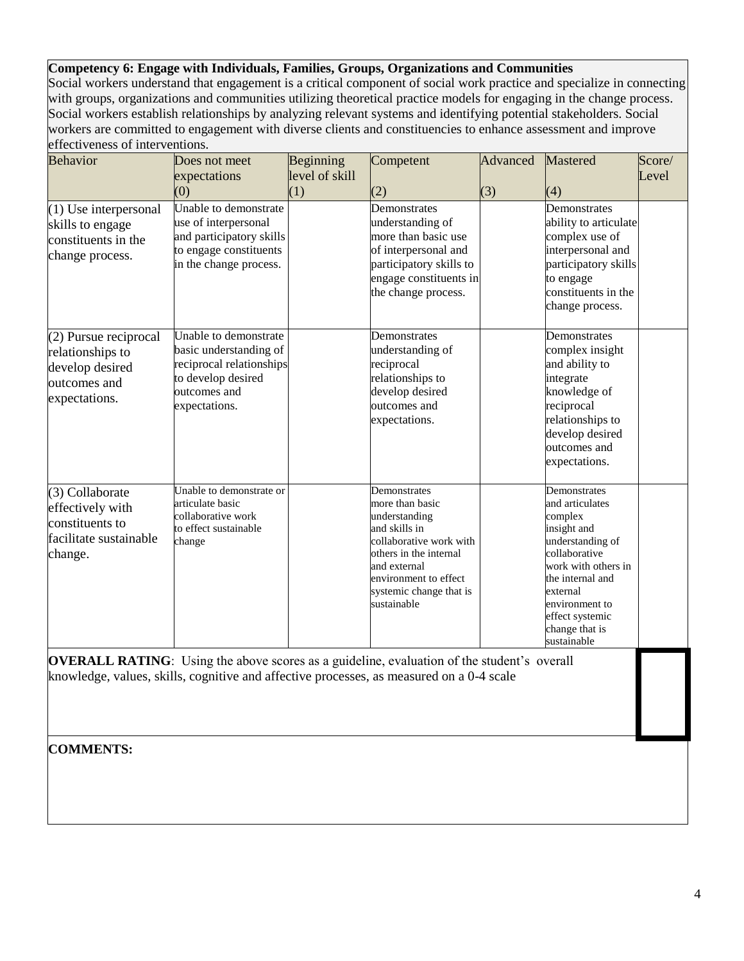### **Competency 6: Engage with Individuals, Families, Groups, Organizations and Communities**

Social workers understand that engagement is a critical component of social work practice and specialize in connecting with groups, organizations and communities utilizing theoretical practice models for engaging in the change process. Social workers establish relationships by analyzing relevant systems and identifying potential stakeholders. Social workers are committed to engagement with diverse clients and constituencies to enhance assessment and improve effectiveness of interventions.

| <b>Behavior</b>                                                                                    | Does not meet                                                                                                                      | Beginning      | Competent                                                                                                                                                                                                                       | Advanced | Mastered                                                                                                                                                                                                                    | Score/ |
|----------------------------------------------------------------------------------------------------|------------------------------------------------------------------------------------------------------------------------------------|----------------|---------------------------------------------------------------------------------------------------------------------------------------------------------------------------------------------------------------------------------|----------|-----------------------------------------------------------------------------------------------------------------------------------------------------------------------------------------------------------------------------|--------|
|                                                                                                    | expectations                                                                                                                       | level of skill |                                                                                                                                                                                                                                 |          |                                                                                                                                                                                                                             | Level  |
|                                                                                                    | (0)                                                                                                                                | (1)            | (2)                                                                                                                                                                                                                             | (3)      | (4)                                                                                                                                                                                                                         |        |
| $(1)$ Use interpersonal<br>skills to engage<br>constituents in the<br>change process.              | Unable to demonstrate<br>use of interpersonal<br>and participatory skills<br>to engage constituents<br>in the change process.      |                | Demonstrates<br>understanding of<br>more than basic use<br>of interpersonal and<br>participatory skills to<br>engage constituents in<br>the change process.                                                                     |          | Demonstrates<br>ability to articulate<br>complex use of<br>interpersonal and<br>participatory skills<br>to engage<br>constituents in the<br>change process.                                                                 |        |
| $(2)$ Pursue reciprocal<br>relationships to<br>develop desired<br>outcomes and<br>expectations.    | Unable to demonstrate<br>basic understanding of<br>reciprocal relationships<br>to develop desired<br>outcomes and<br>expectations. |                | Demonstrates<br>understanding of<br>reciprocal<br>relationships to<br>develop desired<br>outcomes and<br>expectations.                                                                                                          |          | Demonstrates<br>complex insight<br>and ability to<br>integrate<br>knowledge of<br>reciprocal<br>relationships to<br>develop desired<br>outcomes and<br>expectations.                                                        |        |
| $(3)$ Collaborate<br>effectively with<br>constituents to<br>facilitate sustainable<br>change.      | Unable to demonstrate or<br>articulate basic<br>collaborative work<br>to effect sustainable<br>change                              |                | Demonstrates<br>more than basic<br>understanding<br>and skills in<br>collaborative work with<br>others in the internal<br>and external<br>environment to effect<br>systemic change that is<br>sustainable                       |          | Demonstrates<br>and articulates<br>complex<br>insight and<br>understanding of<br>collaborative<br>work with others in<br>the internal and<br>external<br>environment to<br>effect systemic<br>change that is<br>sustainable |        |
| <b>OVERALL RATING</b> : Using the above scores as a guideline, evaluation of the student's overall |                                                                                                                                    |                | $1 \t 1'11$ $1'1$ $1'1$ $1'1$ $1'1$ $1'1$ $1'11$ $1'11$ $1'11$ $1'11$ $1'11$ $1'11$ $1'11$ $1'11$ $1'11$ $1'11$ $1'11$ $1'11$ $1'11$ $1'11$ $1'11$ $1'11$ $1'11$ $1'11$ $1'11$ $1'11$ $1'11$ $1'11$ $1'11$ $1'11$ $1'11$ $1'11$ |          |                                                                                                                                                                                                                             |        |

knowledge, values, skills, cognitive and affective processes, as measured on a 0-4 scale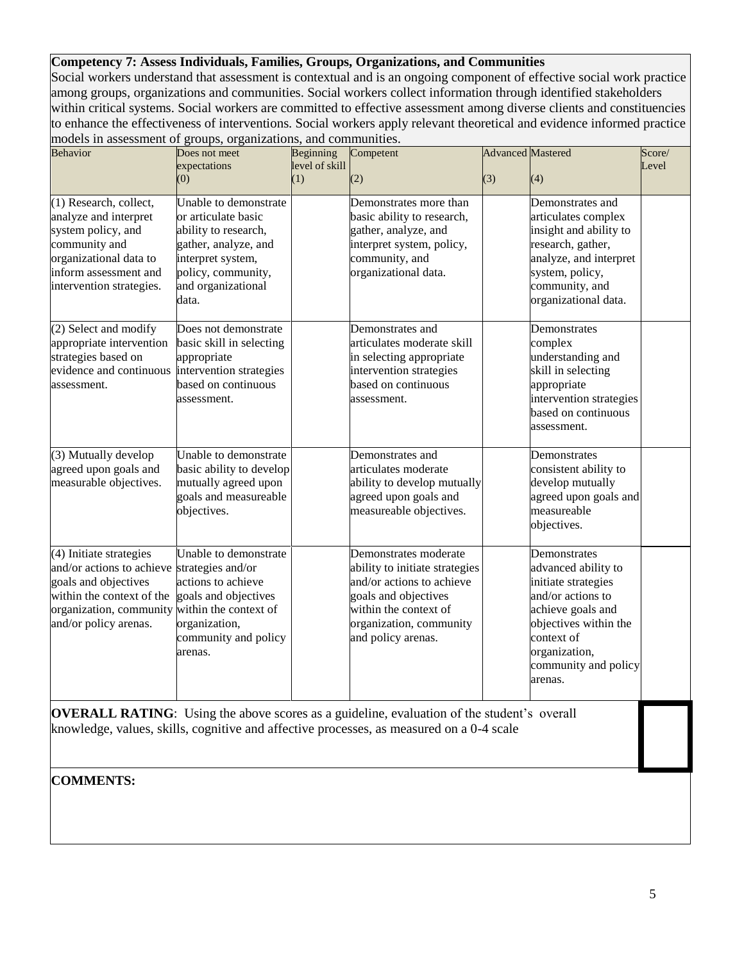## **Competency 7: Assess Individuals, Families, Groups, Organizations, and Communities**

Social workers understand that assessment is contextual and is an ongoing component of effective social work practice among groups, organizations and communities. Social workers collect information through identified stakeholders within critical systems. Social workers are committed to effective assessment among diverse clients and constituencies to enhance the effectiveness of interventions. Social workers apply relevant theoretical and evidence informed practice models in assessment of groups, organizations, and communities.

| Behavior                                                                                                                                                                                              | Does not meet                                                                                                                                                          | Beginning      | Competent                                                                                                                                                                              | <b>Advanced</b> Mastered |                                                                                                                                                                                                 | Score/ |
|-------------------------------------------------------------------------------------------------------------------------------------------------------------------------------------------------------|------------------------------------------------------------------------------------------------------------------------------------------------------------------------|----------------|----------------------------------------------------------------------------------------------------------------------------------------------------------------------------------------|--------------------------|-------------------------------------------------------------------------------------------------------------------------------------------------------------------------------------------------|--------|
|                                                                                                                                                                                                       | expectations                                                                                                                                                           | level of skill |                                                                                                                                                                                        |                          |                                                                                                                                                                                                 | Level  |
|                                                                                                                                                                                                       | (0)                                                                                                                                                                    | (1)            | (2)                                                                                                                                                                                    | (3)                      | (4)                                                                                                                                                                                             |        |
| $(1)$ Research, collect,<br>analyze and interpret<br>system policy, and<br>community and<br>organizational data to<br>inform assessment and<br>intervention strategies.                               | Unable to demonstrate<br>or articulate basic<br>ability to research,<br>gather, analyze, and<br>interpret system,<br>policy, community,<br>and organizational<br>data. |                | Demonstrates more than<br>basic ability to research,<br>gather, analyze, and<br>interpret system, policy,<br>community, and<br>organizational data.                                    |                          | Demonstrates and<br>articulates complex<br>insight and ability to<br>research, gather,<br>analyze, and interpret<br>system, policy,<br>community, and<br>organizational data.                   |        |
| (2) Select and modify<br>appropriate intervention<br>strategies based on<br>evidence and continuous<br>assessment.                                                                                    | Does not demonstrate<br>basic skill in selecting<br>appropriate<br>intervention strategies<br>based on continuous<br>assessment.                                       |                | Demonstrates and<br>articulates moderate skill<br>in selecting appropriate<br>intervention strategies<br>based on continuous<br>assessment.                                            |                          | Demonstrates<br>complex<br>understanding and<br>skill in selecting<br>appropriate<br>intervention strategies<br>based on continuous<br>assessment.                                              |        |
| (3) Mutually develop<br>agreed upon goals and<br>measurable objectives.                                                                                                                               | Unable to demonstrate<br>basic ability to develop<br>mutually agreed upon<br>goals and measureable<br>objectives.                                                      |                | Demonstrates and<br>articulates moderate<br>ability to develop mutually<br>agreed upon goals and<br>measureable objectives.                                                            |                          | Demonstrates<br>consistent ability to<br>develop mutually<br>agreed upon goals and<br>measureable<br>objectives.                                                                                |        |
| (4) Initiate strategies<br>and/or actions to achieve strategies and/or<br>goals and objectives<br>within the context of the<br>organization, community within the context of<br>and/or policy arenas. | Unable to demonstrate<br>actions to achieve<br>goals and objectives<br>organization,<br>community and policy<br>arenas.                                                |                | Demonstrates moderate<br>ability to initiate strategies<br>and/or actions to achieve<br>goals and objectives<br>within the context of<br>organization, community<br>and policy arenas. |                          | Demonstrates<br>advanced ability to<br>initiate strategies<br>and/or actions to<br>achieve goals and<br>objectives within the<br>context of<br>organization,<br>community and policy<br>arenas. |        |

**OVERALL RATING:** Using the above scores as a guideline, evaluation of the student's overall knowledge, values, skills, cognitive and affective processes, as measured on a 0-4 scale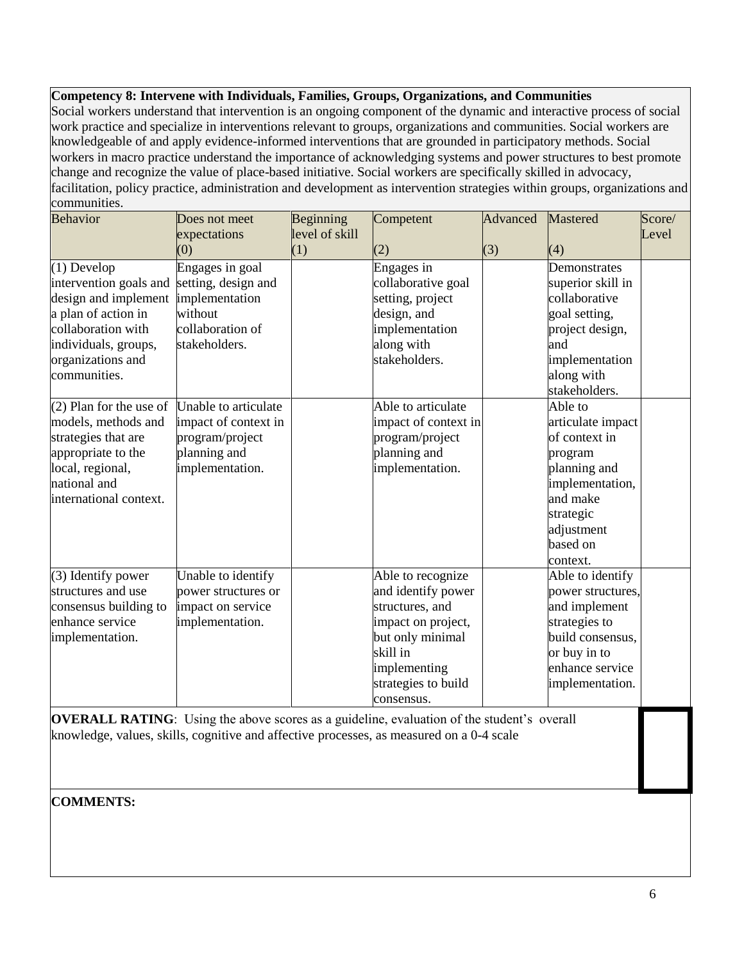## **Competency 8: Intervene with Individuals, Families, Groups, Organizations, and Communities**

Social workers understand that intervention is an ongoing component of the dynamic and interactive process of social work practice and specialize in interventions relevant to groups, organizations and communities. Social workers are knowledgeable of and apply evidence-informed interventions that are grounded in participatory methods. Social workers in macro practice understand the importance of acknowledging systems and power structures to best promote change and recognize the value of place-based initiative. Social workers are specifically skilled in advocacy, facilitation, policy practice, administration and development as intervention strategies within groups, organizations and communities.

| <b>Behavior</b>           | Does not meet        | Beginning             | Competent            | Advanced | <b>Mastered</b>   | Score/ |
|---------------------------|----------------------|-----------------------|----------------------|----------|-------------------|--------|
|                           | expectations<br>(0)  | level of skill<br>(1) | (2)                  | (3)      | (4)               | Level  |
| $(1)$ Develop             | Engages in goal      |                       | Engages in           |          | Demonstrates      |        |
| intervention goals and    | setting, design and  |                       | collaborative goal   |          | superior skill in |        |
| design and implement      | implementation       |                       | setting, project     |          | collaborative     |        |
| a plan of action in       | without              |                       | design, and          |          | goal setting,     |        |
| collaboration with        | collaboration of     |                       | implementation       |          | project design,   |        |
| individuals, groups,      | stakeholders.        |                       | along with           |          | and               |        |
| organizations and         |                      |                       | stakeholders.        |          | implementation    |        |
| communities.              |                      |                       |                      |          | along with        |        |
|                           |                      |                       |                      |          | stakeholders.     |        |
| $(2)$ Plan for the use of | Unable to articulate |                       | Able to articulate   |          | Able to           |        |
| models, methods and       | impact of context in |                       | impact of context in |          | articulate impact |        |
| strategies that are       | program/project      |                       | program/project      |          | of context in     |        |
| appropriate to the        | planning and         |                       | planning and         |          | program           |        |
| local, regional,          | implementation.      |                       | implementation.      |          | planning and      |        |
| national and              |                      |                       |                      |          | implementation,   |        |
| international context.    |                      |                       |                      |          | and make          |        |
|                           |                      |                       |                      |          | strategic         |        |
|                           |                      |                       |                      |          | adjustment        |        |
|                           |                      |                       |                      |          | based on          |        |
|                           |                      |                       |                      |          | context.          |        |
| $(3)$ Identify power      | Unable to identify   |                       | Able to recognize    |          | Able to identify  |        |
| structures and use        | power structures or  |                       | and identify power   |          | power structures, |        |
| consensus building to     | impact on service    |                       | structures, and      |          | and implement     |        |
| enhance service           | implementation.      |                       | impact on project,   |          | strategies to     |        |
| implementation.           |                      |                       | but only minimal     |          | build consensus,  |        |
|                           |                      |                       | skill in             |          | or buy in to      |        |
|                           |                      |                       | implementing         |          | enhance service   |        |
|                           |                      |                       | strategies to build  |          | implementation.   |        |
|                           |                      |                       | consensus.           |          |                   |        |

**OVERALL RATING:** Using the above scores as a guideline, evaluation of the student's overall knowledge, values, skills, cognitive and affective processes, as measured on a 0-4 scale